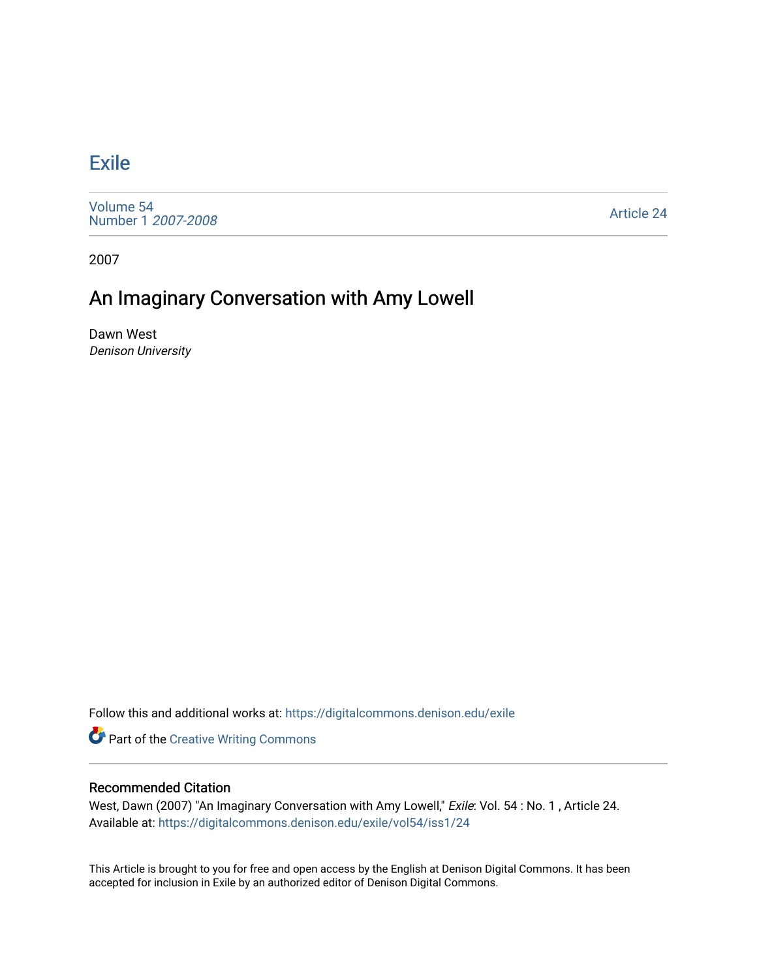## [Exile](https://digitalcommons.denison.edu/exile)

[Volume 54](https://digitalcommons.denison.edu/exile/vol54) [Number 1](https://digitalcommons.denison.edu/exile/vol54/iss1) 2007-2008

[Article 24](https://digitalcommons.denison.edu/exile/vol54/iss1/24) 

2007

## An Imaginary Conversation with Amy Lowell

Dawn West Denison University

Follow this and additional works at: [https://digitalcommons.denison.edu/exile](https://digitalcommons.denison.edu/exile?utm_source=digitalcommons.denison.edu%2Fexile%2Fvol54%2Fiss1%2F24&utm_medium=PDF&utm_campaign=PDFCoverPages) 

**Part of the Creative Writing Commons** 

## Recommended Citation

West, Dawn (2007) "An Imaginary Conversation with Amy Lowell," Exile: Vol. 54: No. 1, Article 24. Available at: [https://digitalcommons.denison.edu/exile/vol54/iss1/24](https://digitalcommons.denison.edu/exile/vol54/iss1/24?utm_source=digitalcommons.denison.edu%2Fexile%2Fvol54%2Fiss1%2F24&utm_medium=PDF&utm_campaign=PDFCoverPages)

This Article is brought to you for free and open access by the English at Denison Digital Commons. It has been accepted for inclusion in Exile by an authorized editor of Denison Digital Commons.